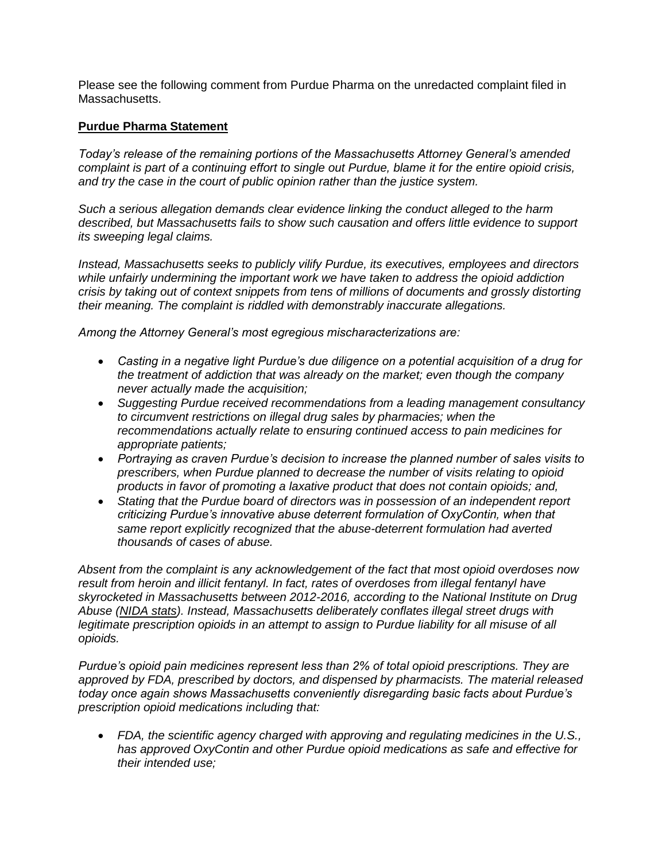Please see the following comment from Purdue Pharma on the unredacted complaint filed in Massachusetts.

## **Purdue Pharma Statement**

*Today's release of the remaining portions of the Massachusetts Attorney General's amended complaint is part of a continuing effort to single out Purdue, blame it for the entire opioid crisis, and try the case in the court of public opinion rather than the justice system.*

*Such a serious allegation demands clear evidence linking the conduct alleged to the harm described, but Massachusetts fails to show such causation and offers little evidence to support its sweeping legal claims.*

*Instead, Massachusetts seeks to publicly vilify Purdue, its executives, employees and directors while unfairly undermining the important work we have taken to address the opioid addiction crisis by taking out of context snippets from tens of millions of documents and grossly distorting their meaning. The complaint is riddled with demonstrably inaccurate allegations.*

*Among the Attorney General's most egregious mischaracterizations are:*

- *Casting in a negative light Purdue's due diligence on a potential acquisition of a drug for the treatment of addiction that was already on the market; even though the company never actually made the acquisition;*
- *Suggesting Purdue received recommendations from a leading management consultancy to circumvent restrictions on illegal drug sales by pharmacies; when the recommendations actually relate to ensuring continued access to pain medicines for appropriate patients;*
- *Portraying as craven Purdue's decision to increase the planned number of sales visits to prescribers, when Purdue planned to decrease the number of visits relating to opioid products in favor of promoting a laxative product that does not contain opioids; and,*
- *Stating that the Purdue board of directors was in possession of an independent report criticizing Purdue's innovative abuse deterrent formulation of OxyContin, when that same report explicitly recognized that the abuse-deterrent formulation had averted thousands of cases of abuse.*

*Absent from the complaint is any acknowledgement of the fact that most opioid overdoses now result from heroin and illicit fentanyl. In fact, rates of overdoses from illegal fentanyl have skyrocketed in Massachusetts between 2012-2016, according to the National Institute on Drug Abuse [\(NIDA stats\)](https://www.drugabuse.gov/drugs-abuse/opioids/opioid-summaries-by-state/massachusetts-opioid-summary). Instead, Massachusetts deliberately conflates illegal street drugs with*  legitimate prescription opioids in an attempt to assign to Purdue liability for all misuse of all *opioids.*

*Purdue's opioid pain medicines represent less than 2% of total opioid prescriptions. They are approved by FDA, prescribed by doctors, and dispensed by pharmacists. The material released today once again shows Massachusetts conveniently disregarding basic facts about Purdue's prescription opioid medications including that:*

 *FDA, the scientific agency charged with approving and regulating medicines in the U.S., has approved OxyContin and other Purdue opioid medications as safe and effective for their intended use;*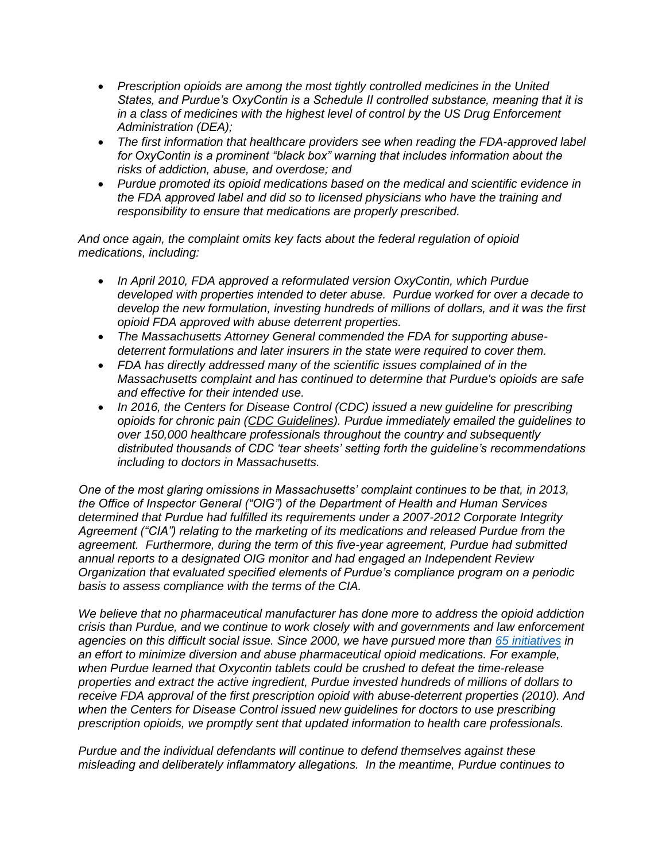- *Prescription opioids are among the most tightly controlled medicines in the United States, and Purdue's OxyContin is a Schedule II controlled substance, meaning that it is in a class of medicines with the highest level of control by the US Drug Enforcement Administration (DEA);*
- *The first information that healthcare providers see when reading the FDA-approved label for OxyContin is a prominent "black box" warning that includes information about the risks of addiction, abuse, and overdose; and*
- *Purdue promoted its opioid medications based on the medical and scientific evidence in the FDA approved label and did so to licensed physicians who have the training and responsibility to ensure that medications are properly prescribed.*

*And once again, the complaint omits key facts about the federal regulation of opioid medications, including:*

- *In April 2010, FDA approved a reformulated version OxyContin, which Purdue developed with properties intended to deter abuse. Purdue worked for over a decade to develop the new formulation, investing hundreds of millions of dollars, and it was the first opioid FDA approved with abuse deterrent properties.*
- *The Massachusetts Attorney General commended the FDA for supporting abusedeterrent formulations and later insurers in the state were required to cover them.*
- *FDA has directly addressed many of the scientific issues complained of in the Massachusetts complaint and has continued to determine that Purdue's opioids are safe and effective for their intended use.*
- In 2016, the Centers for Disease Control (CDC) issued a new quideline for prescribing *opioids for chronic pain [\(CDC Guidelines\)](https://www.cdc.gov/mmwr/volumes/65/rr/rr6501e1.htm?CDC_AA_refVal=https%3A%2F%2Fwww.cdc.gov%2Fmmwr%2Fvolumes%2F65%2Frr%2Frr6501e1er.htm). Purdue immediately emailed the guidelines to over 150,000 healthcare professionals throughout the country and subsequently distributed thousands of CDC 'tear sheets' setting forth the guideline's recommendations including to doctors in Massachusetts.*

*One of the most glaring omissions in Massachusetts' complaint continues to be that, in 2013, the Office of Inspector General ("OIG") of the Department of Health and Human Services determined that Purdue had fulfilled its requirements under a 2007-2012 Corporate Integrity Agreement ("CIA") relating to the marketing of its medications and released Purdue from the agreement. Furthermore, during the term of this five-year agreement, Purdue had submitted annual reports to a designated OIG monitor and had engaged an Independent Review Organization that evaluated specified elements of Purdue's compliance program on a periodic basis to assess compliance with the terms of the CIA.*

*We believe that no pharmaceutical manufacturer has done more to address the opioid addiction crisis than Purdue, and we continue to work closely with and governments and law enforcement agencies on this difficult social issue. Since 2000, we have pursued more than [65 initiatives](https://www.purduepharma.com/ongoing-efforts-to-help-address-the-opioid-crisis/strong-track-record/) in an effort to minimize diversion and abuse pharmaceutical opioid medications. For example, when Purdue learned that Oxycontin tablets could be crushed to defeat the time-release properties and extract the active ingredient, Purdue invested hundreds of millions of dollars to receive FDA approval of the first prescription opioid with abuse-deterrent properties (2010). And when the Centers for Disease Control issued new guidelines for doctors to use prescribing prescription opioids, we promptly sent that updated information to health care professionals.*

*Purdue and the individual defendants will continue to defend themselves against these misleading and deliberately inflammatory allegations. In the meantime, Purdue continues to*